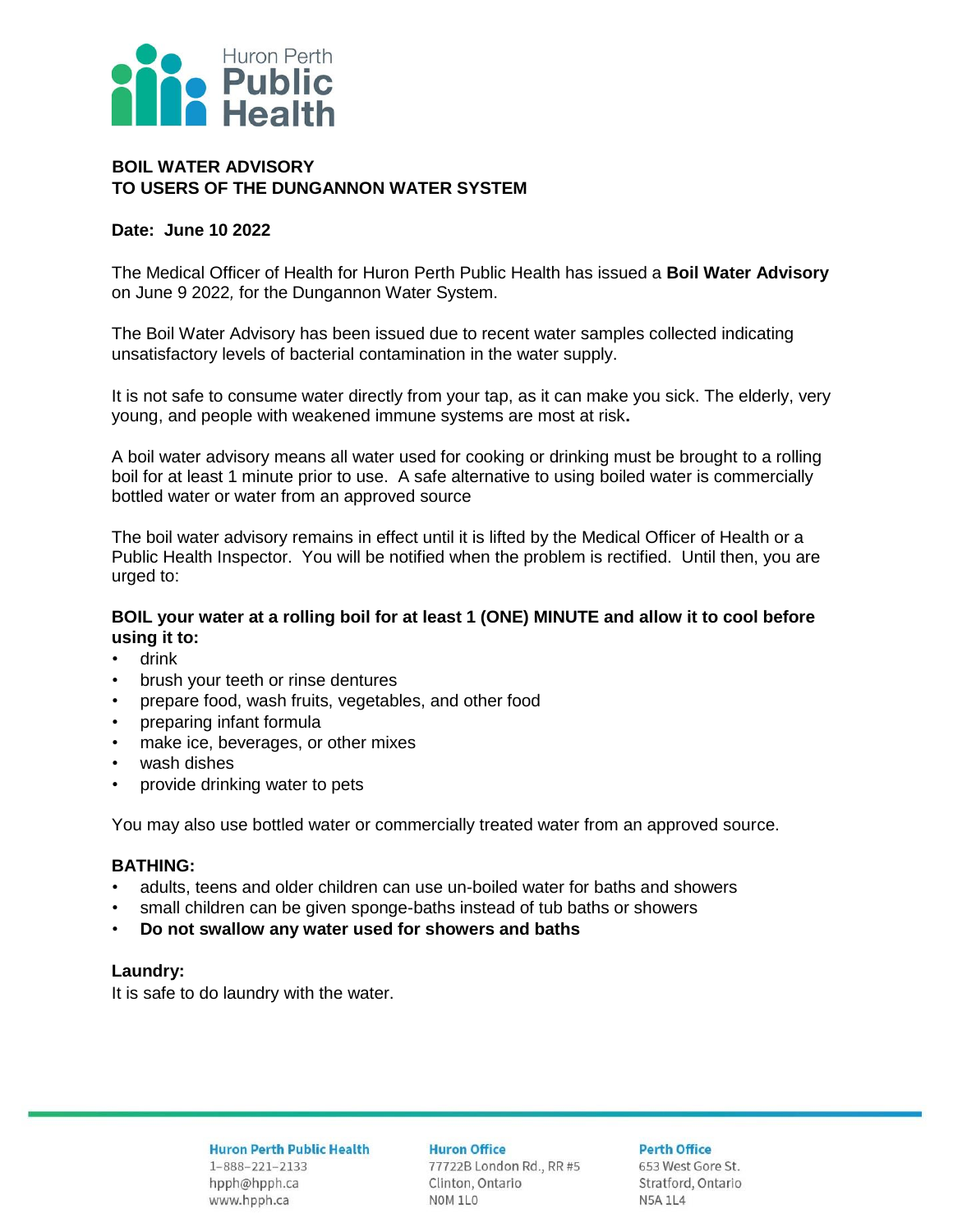

## **BOIL WATER ADVISORY TO USERS OF THE DUNGANNON WATER SYSTEM**

#### **Date: June 10 2022**

The Medical Officer of Health for Huron Perth Public Health has issued a **Boil Water Advisory** on June 9 2022*,* for the Dungannon Water System.

The Boil Water Advisory has been issued due to recent water samples collected indicating unsatisfactory levels of bacterial contamination in the water supply.

It is not safe to consume water directly from your tap, as it can make you sick. The elderly, very young, and people with weakened immune systems are most at risk**.** 

A boil water advisory means all water used for cooking or drinking must be brought to a rolling boil for at least 1 minute prior to use. A safe alternative to using boiled water is commercially bottled water or water from an approved source

The boil water advisory remains in effect until it is lifted by the Medical Officer of Health or a Public Health Inspector. You will be notified when the problem is rectified. Until then, you are urged to:

### **BOIL your water at a rolling boil for at least 1 (ONE) MINUTE and allow it to cool before using it to:**

- drink
- brush your teeth or rinse dentures
- prepare food, wash fruits, vegetables, and other food
- preparing infant formula
- make ice, beverages, or other mixes
- wash dishes
- provide drinking water to pets

You may also use bottled water or commercially treated water from an approved source.

## **BATHING:**

- adults, teens and older children can use un-boiled water for baths and showers
- small children can be given sponge-baths instead of tub baths or showers
- **Do not swallow any water used for showers and baths**

#### **Laundry:**

It is safe to do laundry with the water.

**Huron Perth Public Health**  $1 - 888 - 221 - 2133$ hpph@hpph.ca www.hpph.ca

**Huron Office** 77722B London Rd., RR #5 Clinton, Ontario NOM 1L0

**Perth Office** 

653 West Gore St. Stratford, Ontario **N5A 1L4**